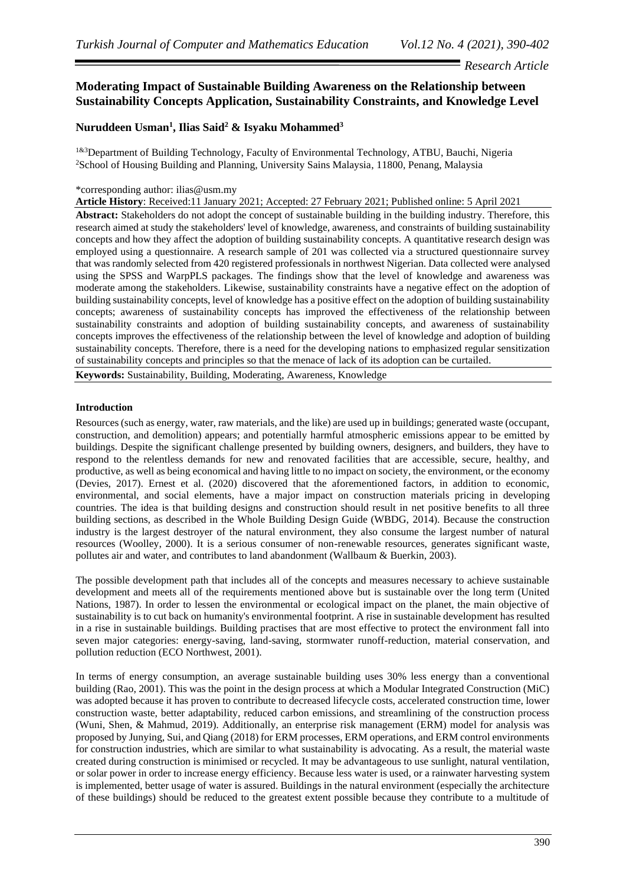# *Research Article*

# **Moderating Impact of Sustainable Building Awareness on the Relationship between Sustainability Concepts Application, Sustainability Constraints, and Knowledge Level**

# **Nuruddeen Usman<sup>1</sup> , Ilias Said<sup>2</sup> & Isyaku Mohammed<sup>3</sup>**

<sup>1&3</sup>Department of Building Technology, Faculty of Environmental Technology, ATBU, Bauchi, Nigeria <sup>2</sup>School of Housing Building and Planning, University Sains Malaysia, 11800, Penang, Malaysia

### \*corresponding author: ilias@usm.my

**Article History**: Received:11 January 2021; Accepted: 27 February 2021; Published online: 5 April 2021

**Abstract:** Stakeholders do not adopt the concept of sustainable building in the building industry. Therefore, this research aimed at study the stakeholders' level of knowledge, awareness, and constraints of building sustainability concepts and how they affect the adoption of building sustainability concepts. A quantitative research design was employed using a questionnaire. A research sample of 201 was collected via a structured questionnaire survey that was randomly selected from 420 registered professionals in northwest Nigerian. Data collected were analysed using the SPSS and WarpPLS packages. The findings show that the level of knowledge and awareness was moderate among the stakeholders. Likewise, sustainability constraints have a negative effect on the adoption of building sustainability concepts, level of knowledge has a positive effect on the adoption of building sustainability concepts; awareness of sustainability concepts has improved the effectiveness of the relationship between sustainability constraints and adoption of building sustainability concepts, and awareness of sustainability concepts improves the effectiveness of the relationship between the level of knowledge and adoption of building sustainability concepts. Therefore, there is a need for the developing nations to emphasized regular sensitization of sustainability concepts and principles so that the menace of lack of its adoption can be curtailed.

**Keywords:** Sustainability, Building, Moderating, Awareness, Knowledge

## **Introduction**

Resources (such as energy, water, raw materials, and the like) are used up in buildings; generated waste (occupant, construction, and demolition) appears; and potentially harmful atmospheric emissions appear to be emitted by buildings. Despite the significant challenge presented by building owners, designers, and builders, they have to respond to the relentless demands for new and renovated facilities that are accessible, secure, healthy, and productive, as well as being economical and having little to no impact on society, the environment, or the economy (Devies, 2017). Ernest et al. (2020) discovered that the aforementioned factors, in addition to economic, environmental, and social elements, have a major impact on construction materials pricing in developing countries. The idea is that building designs and construction should result in net positive benefits to all three building sections, as described in the Whole Building Design Guide (WBDG, 2014). Because the construction industry is the largest destroyer of the natural environment, they also consume the largest number of natural resources (Woolley, 2000). It is a serious consumer of non-renewable resources, generates significant waste, pollutes air and water, and contributes to land abandonment (Wallbaum & Buerkin, 2003).

The possible development path that includes all of the concepts and measures necessary to achieve sustainable development and meets all of the requirements mentioned above but is sustainable over the long term (United Nations, 1987). In order to lessen the environmental or ecological impact on the planet, the main objective of sustainability is to cut back on humanity's environmental footprint. A rise in sustainable development has resulted in a rise in sustainable buildings. Building practises that are most effective to protect the environment fall into seven major categories: energy-saving, land-saving, stormwater runoff-reduction, material conservation, and pollution reduction (ECO Northwest, 2001).

In terms of energy consumption, an average sustainable building uses 30% less energy than a conventional building (Rao, 2001). This was the point in the design process at which a Modular Integrated Construction (MiC) was adopted because it has proven to contribute to decreased lifecycle costs, accelerated construction time, lower construction waste, better adaptability, reduced carbon emissions, and streamlining of the construction process (Wuni, Shen, & Mahmud, 2019). Additionally, an enterprise risk management (ERM) model for analysis was proposed by Junying, Sui, and Qiang (2018) for ERM processes, ERM operations, and ERM control environments for construction industries, which are similar to what sustainability is advocating. As a result, the material waste created during construction is minimised or recycled. It may be advantageous to use sunlight, natural ventilation, or solar power in order to increase energy efficiency. Because less water is used, or a rainwater harvesting system is implemented, better usage of water is assured. Buildings in the natural environment (especially the architecture of these buildings) should be reduced to the greatest extent possible because they contribute to a multitude of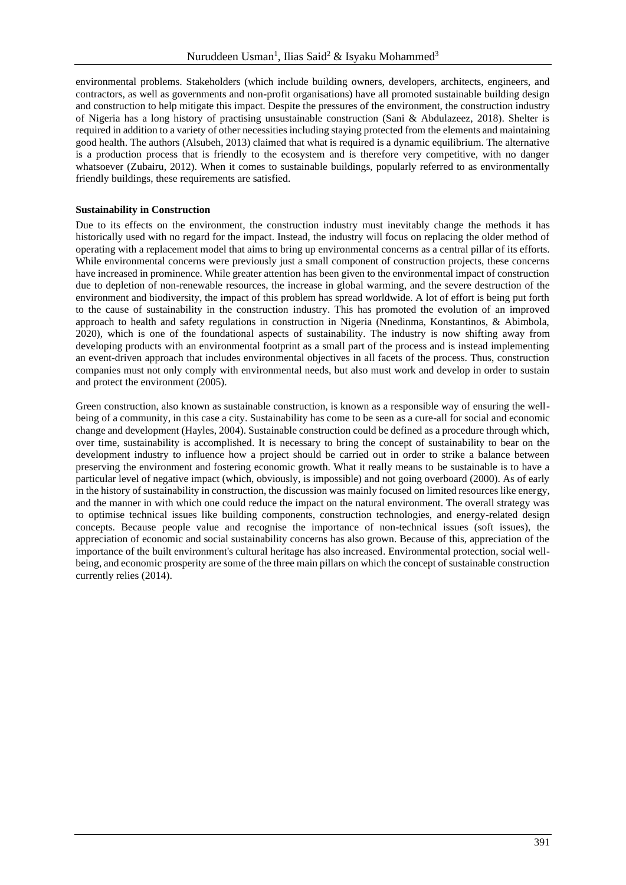environmental problems. Stakeholders (which include building owners, developers, architects, engineers, and contractors, as well as governments and non-profit organisations) have all promoted sustainable building design and construction to help mitigate this impact. Despite the pressures of the environment, the construction industry of Nigeria has a long history of practising unsustainable construction (Sani & Abdulazeez, 2018). Shelter is required in addition to a variety of other necessities including staying protected from the elements and maintaining good health. The authors (Alsubeh, 2013) claimed that what is required is a dynamic equilibrium. The alternative is a production process that is friendly to the ecosystem and is therefore very competitive, with no danger whatsoever (Zubairu, 2012). When it comes to sustainable buildings, popularly referred to as environmentally friendly buildings, these requirements are satisfied.

### **Sustainability in Construction**

Due to its effects on the environment, the construction industry must inevitably change the methods it has historically used with no regard for the impact. Instead, the industry will focus on replacing the older method of operating with a replacement model that aims to bring up environmental concerns as a central pillar of its efforts. While environmental concerns were previously just a small component of construction projects, these concerns have increased in prominence. While greater attention has been given to the environmental impact of construction due to depletion of non-renewable resources, the increase in global warming, and the severe destruction of the environment and biodiversity, the impact of this problem has spread worldwide. A lot of effort is being put forth to the cause of sustainability in the construction industry. This has promoted the evolution of an improved approach to health and safety regulations in construction in Nigeria (Nnedinma, Konstantinos, & Abimbola, 2020), which is one of the foundational aspects of sustainability. The industry is now shifting away from developing products with an environmental footprint as a small part of the process and is instead implementing an event-driven approach that includes environmental objectives in all facets of the process. Thus, construction companies must not only comply with environmental needs, but also must work and develop in order to sustain and protect the environment (2005).

Green construction, also known as sustainable construction, is known as a responsible way of ensuring the wellbeing of a community, in this case a city. Sustainability has come to be seen as a cure-all for social and economic change and development (Hayles, 2004). Sustainable construction could be defined as a procedure through which, over time, sustainability is accomplished. It is necessary to bring the concept of sustainability to bear on the development industry to influence how a project should be carried out in order to strike a balance between preserving the environment and fostering economic growth. What it really means to be sustainable is to have a particular level of negative impact (which, obviously, is impossible) and not going overboard (2000). As of early in the history of sustainability in construction, the discussion was mainly focused on limited resources like energy, and the manner in with which one could reduce the impact on the natural environment. The overall strategy was to optimise technical issues like building components, construction technologies, and energy-related design concepts. Because people value and recognise the importance of non-technical issues (soft issues), the appreciation of economic and social sustainability concerns has also grown. Because of this, appreciation of the importance of the built environment's cultural heritage has also increased. Environmental protection, social wellbeing, and economic prosperity are some of the three main pillars on which the concept of sustainable construction currently relies (2014).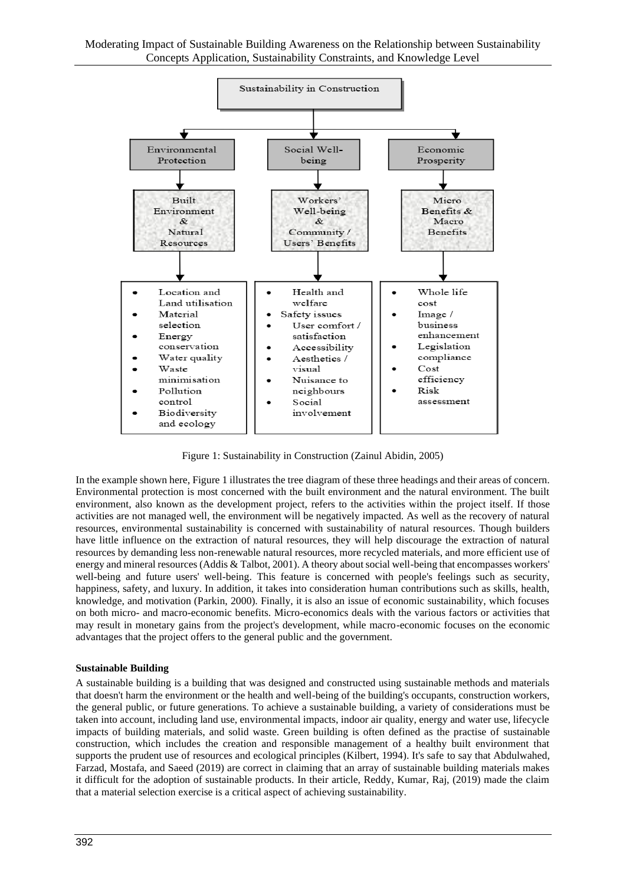

Figure 1: Sustainability in Construction (Zainul Abidin, 2005)

In the example shown here, Figure 1 illustrates the tree diagram of these three headings and their areas of concern. Environmental protection is most concerned with the built environment and the natural environment. The built environment, also known as the development project, refers to the activities within the project itself. If those activities are not managed well, the environment will be negatively impacted. As well as the recovery of natural resources, environmental sustainability is concerned with sustainability of natural resources. Though builders have little influence on the extraction of natural resources, they will help discourage the extraction of natural resources by demanding less non-renewable natural resources, more recycled materials, and more efficient use of energy and mineral resources (Addis & Talbot, 2001). A theory about social well-being that encompasses workers' well-being and future users' well-being. This feature is concerned with people's feelings such as security, happiness, safety, and luxury. In addition, it takes into consideration human contributions such as skills, health, knowledge, and motivation (Parkin, 2000). Finally, it is also an issue of economic sustainability, which focuses on both micro- and macro-economic benefits. Micro-economics deals with the various factors or activities that may result in monetary gains from the project's development, while macro-economic focuses on the economic advantages that the project offers to the general public and the government.

## **Sustainable Building**

A sustainable building is a building that was designed and constructed using sustainable methods and materials that doesn't harm the environment or the health and well-being of the building's occupants, construction workers, the general public, or future generations. To achieve a sustainable building, a variety of considerations must be taken into account, including land use, environmental impacts, indoor air quality, energy and water use, lifecycle impacts of building materials, and solid waste. Green building is often defined as the practise of sustainable construction, which includes the creation and responsible management of a healthy built environment that supports the prudent use of resources and ecological principles (Kilbert, 1994). It's safe to say that Abdulwahed, Farzad, Mostafa, and Saeed (2019) are correct in claiming that an array of sustainable building materials makes it difficult for the adoption of sustainable products. In their article, Reddy, Kumar, Raj, (2019) made the claim that a material selection exercise is a critical aspect of achieving sustainability.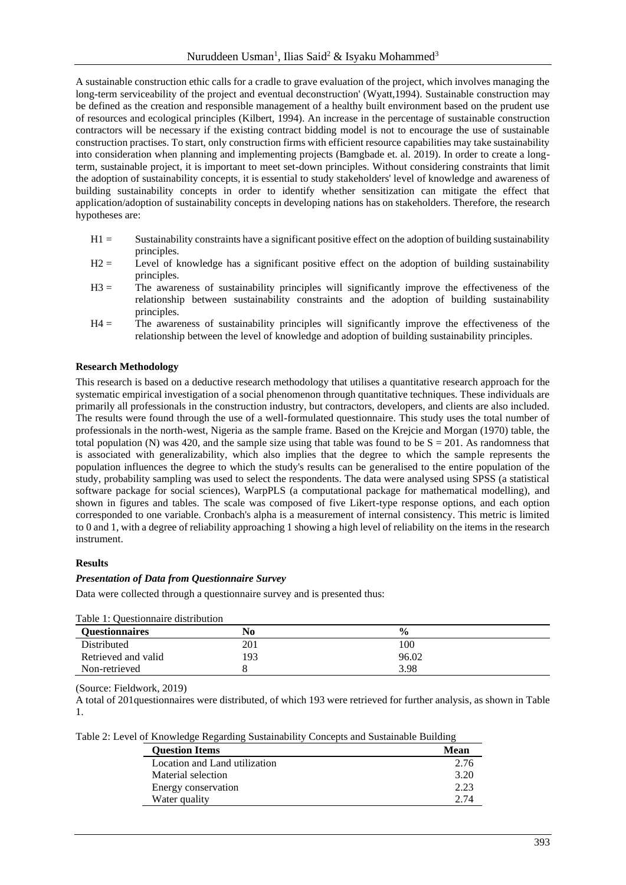A sustainable construction ethic calls for a cradle to grave evaluation of the project, which involves managing the long-term serviceability of the project and eventual deconstruction' (Wyatt,1994). Sustainable construction may be defined as the creation and responsible management of a healthy built environment based on the prudent use of resources and ecological principles (Kilbert, 1994). An increase in the percentage of sustainable construction contractors will be necessary if the existing contract bidding model is not to encourage the use of sustainable construction practises. To start, only construction firms with efficient resource capabilities may take sustainability into consideration when planning and implementing projects (Bamgbade et. al. 2019). In order to create a longterm, sustainable project, it is important to meet set-down principles. Without considering constraints that limit the adoption of sustainability concepts, it is essential to study stakeholders' level of knowledge and awareness of building sustainability concepts in order to identify whether sensitization can mitigate the effect that application/adoption of sustainability concepts in developing nations has on stakeholders. Therefore, the research hypotheses are:

- H1 = Sustainability constraints have a significant positive effect on the adoption of building sustainability principles.
- H2 = Level of knowledge has a significant positive effect on the adoption of building sustainability principles.
- H3 = The awareness of sustainability principles will significantly improve the effectiveness of the relationship between sustainability constraints and the adoption of building sustainability principles.
- H4 = The awareness of sustainability principles will significantly improve the effectiveness of the relationship between the level of knowledge and adoption of building sustainability principles.

### **Research Methodology**

This research is based on a deductive research methodology that utilises a quantitative research approach for the systematic empirical investigation of a social phenomenon through quantitative techniques. These individuals are primarily all professionals in the construction industry, but contractors, developers, and clients are also included. The results were found through the use of a well-formulated questionnaire. This study uses the total number of professionals in the north-west, Nigeria as the sample frame. Based on the Krejcie and Morgan (1970) table, the total population (N) was 420, and the sample size using that table was found to be  $S = 201$ . As randomness that is associated with generalizability, which also implies that the degree to which the sample represents the population influences the degree to which the study's results can be generalised to the entire population of the study, probability sampling was used to select the respondents. The data were analysed using SPSS (a statistical software package for social sciences), WarpPLS (a computational package for mathematical modelling), and shown in figures and tables. The scale was composed of five Likert-type response options, and each option corresponded to one variable. Cronbach's alpha is a measurement of internal consistency. This metric is limited to 0 and 1, with a degree of reliability approaching 1 showing a high level of reliability on the items in the research instrument.

#### **Results**

#### *Presentation of Data from Questionnaire Survey*

Data were collected through a questionnaire survey and is presented thus:

| Table 1: Questionnaire distribution |     |               |  |  |
|-------------------------------------|-----|---------------|--|--|
| <b>Ouestionnaires</b>               | No  | $\frac{6}{9}$ |  |  |
| Distributed                         | 201 | 100           |  |  |
| Retrieved and valid                 | 93  | 96.02         |  |  |
| Non-retrieved                       |     | 3.98          |  |  |

 $T$  and  $T: \Omega$  is distribution and distribution

(Source: Fieldwork, 2019)

A total of 201questionnaires were distributed, of which 193 were retrieved for further analysis, as shown in Table 1.

|  |  | Table 2: Level of Knowledge Regarding Sustainability Concepts and Sustainable Building |
|--|--|----------------------------------------------------------------------------------------|
|  |  |                                                                                        |

| <b>Ouestion Items</b>         | Mean |
|-------------------------------|------|
| Location and Land utilization | 2.76 |
| Material selection            | 3.20 |
| Energy conservation           | 2.23 |
| Water quality                 | 2 74 |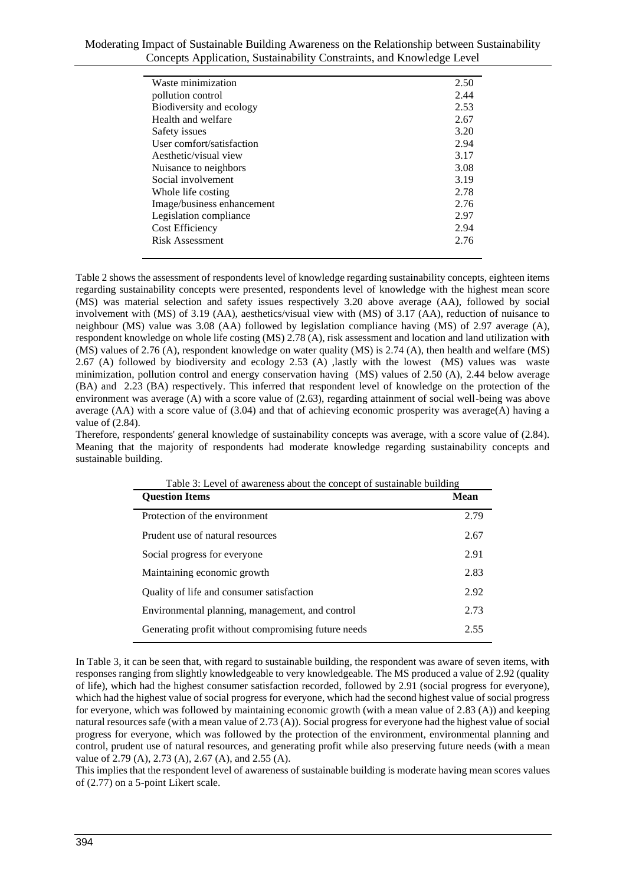| Moderating Impact of Sustainable Building Awareness on the Relationship between Sustainability |  |
|------------------------------------------------------------------------------------------------|--|
| Concepts Application, Sustainability Constraints, and Knowledge Level                          |  |

| Waste minimization         | 2.50 |
|----------------------------|------|
| pollution control          | 2.44 |
| Biodiversity and ecology   | 2.53 |
| Health and welfare         | 2.67 |
| Safety issues              | 3.20 |
| User comfort/satisfaction  | 2.94 |
| Aesthetic/visual view      | 3.17 |
| Nuisance to neighbors      | 3.08 |
| Social involvement         | 3.19 |
| Whole life costing         | 2.78 |
| Image/business enhancement | 2.76 |
| Legislation compliance     | 2.97 |
| <b>Cost Efficiency</b>     | 2.94 |
| Risk Assessment            | 2.76 |
|                            |      |

Table 2 shows the assessment of respondents level of knowledge regarding sustainability concepts, eighteen items regarding sustainability concepts were presented, respondents level of knowledge with the highest mean score (MS) was material selection and safety issues respectively 3.20 above average (AA), followed by social involvement with (MS) of 3.19 (AA), aesthetics/visual view with (MS) of 3.17 (AA), reduction of nuisance to neighbour (MS) value was 3.08 (AA) followed by legislation compliance having (MS) of 2.97 average (A), respondent knowledge on whole life costing (MS) 2.78 (A), risk assessment and location and land utilization with (MS) values of 2.76 (A), respondent knowledge on water quality (MS) is 2.74 (A), then health and welfare (MS) 2.67 (A) followed by biodiversity and ecology 2.53 (A) ,lastly with the lowest (MS) values was waste minimization, pollution control and energy conservation having (MS) values of 2.50 (A), 2.44 below average (BA) and 2.23 (BA) respectively. This inferred that respondent level of knowledge on the protection of the environment was average (A) with a score value of (2.63), regarding attainment of social well-being was above average (AA) with a score value of (3.04) and that of achieving economic prosperity was average(A) having a value of (2.84).

Therefore, respondents' general knowledge of sustainability concepts was average, with a score value of (2.84). Meaning that the majority of respondents had moderate knowledge regarding sustainability concepts and sustainable building.

| <b>Question Items</b>                               | <b>Mean</b> |
|-----------------------------------------------------|-------------|
| Protection of the environment                       | 2.79        |
| Prudent use of natural resources                    | 2.67        |
| Social progress for everyone                        | 2.91        |
| Maintaining economic growth                         | 2.83        |
| Quality of life and consumer satisfaction           | 2.92        |
| Environmental planning, management, and control     | 2.73        |
| Generating profit without compromising future needs | 2.55        |
|                                                     |             |

| Table 3: Level of awareness about the concept of sustainable building |  |
|-----------------------------------------------------------------------|--|
|-----------------------------------------------------------------------|--|

In Table 3, it can be seen that, with regard to sustainable building, the respondent was aware of seven items, with responses ranging from slightly knowledgeable to very knowledgeable. The MS produced a value of 2.92 (quality of life), which had the highest consumer satisfaction recorded, followed by 2.91 (social progress for everyone), which had the highest value of social progress for everyone, which had the second highest value of social progress for everyone, which was followed by maintaining economic growth (with a mean value of 2.83 (A)) and keeping natural resources safe (with a mean value of 2.73 (A)). Social progress for everyone had the highest value of social progress for everyone, which was followed by the protection of the environment, environmental planning and control, prudent use of natural resources, and generating profit while also preserving future needs (with a mean value of 2.79 (A), 2.73 (A), 2.67 (A), and 2.55 (A).

This implies that the respondent level of awareness of sustainable building is moderate having mean scores values of (2.77) on a 5-point Likert scale.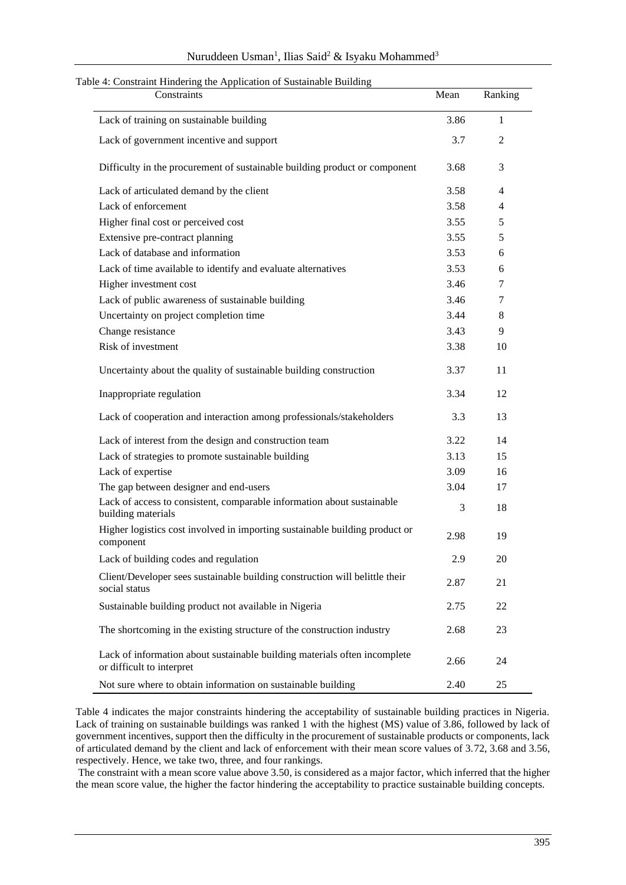| Nuruddeen Usman <sup>1</sup> , Ilias Said <sup>2</sup> & Isyaku Mohammed <sup>3</sup> |  |  |  |
|---------------------------------------------------------------------------------------|--|--|--|
|---------------------------------------------------------------------------------------|--|--|--|

| Constraints                                                                                            | Mean | Ranking      |
|--------------------------------------------------------------------------------------------------------|------|--------------|
| Lack of training on sustainable building                                                               | 3.86 | $\mathbf{1}$ |
| Lack of government incentive and support                                                               | 3.7  | 2            |
| Difficulty in the procurement of sustainable building product or component                             | 3.68 | 3            |
| Lack of articulated demand by the client                                                               | 3.58 | 4            |
| Lack of enforcement                                                                                    | 3.58 | 4            |
| Higher final cost or perceived cost                                                                    | 3.55 | 5            |
| Extensive pre-contract planning                                                                        | 3.55 | 5            |
| Lack of database and information                                                                       | 3.53 | 6            |
| Lack of time available to identify and evaluate alternatives                                           | 3.53 | 6            |
| Higher investment cost                                                                                 | 3.46 | $\tau$       |
| Lack of public awareness of sustainable building                                                       | 3.46 | 7            |
| Uncertainty on project completion time                                                                 | 3.44 | 8            |
| Change resistance                                                                                      | 3.43 | 9            |
| Risk of investment                                                                                     | 3.38 | 10           |
| Uncertainty about the quality of sustainable building construction                                     | 3.37 | 11           |
| Inappropriate regulation                                                                               | 3.34 | 12           |
| Lack of cooperation and interaction among professionals/stakeholders                                   | 3.3  | 13           |
| Lack of interest from the design and construction team                                                 | 3.22 | 14           |
| Lack of strategies to promote sustainable building                                                     | 3.13 | 15           |
| Lack of expertise                                                                                      | 3.09 | 16           |
| The gap between designer and end-users                                                                 | 3.04 | 17           |
| Lack of access to consistent, comparable information about sustainable<br>building materials           | 3    | 18           |
| Higher logistics cost involved in importing sustainable building product or<br>component               | 2.98 | 19           |
| Lack of building codes and regulation                                                                  | 2.9  | 20           |
| Client/Developer sees sustainable building construction will belittle their<br>social status           | 2.87 | 21           |
| Sustainable building product not available in Nigeria                                                  | 2.75 | 22           |
| The shortcoming in the existing structure of the construction industry                                 | 2.68 | 23           |
| Lack of information about sustainable building materials often incomplete<br>or difficult to interpret | 2.66 | 24           |
| Not sure where to obtain information on sustainable building                                           | 2.40 | 25           |

Table 4 indicates the major constraints hindering the acceptability of sustainable building practices in Nigeria. Lack of training on sustainable buildings was ranked 1 with the highest (MS) value of 3.86, followed by lack of government incentives, support then the difficulty in the procurement of sustainable products or components, lack of articulated demand by the client and lack of enforcement with their mean score values of 3.72, 3.68 and 3.56, respectively. Hence, we take two, three, and four rankings.

The constraint with a mean score value above 3.50, is considered as a major factor, which inferred that the higher the mean score value, the higher the factor hindering the acceptability to practice sustainable building concepts.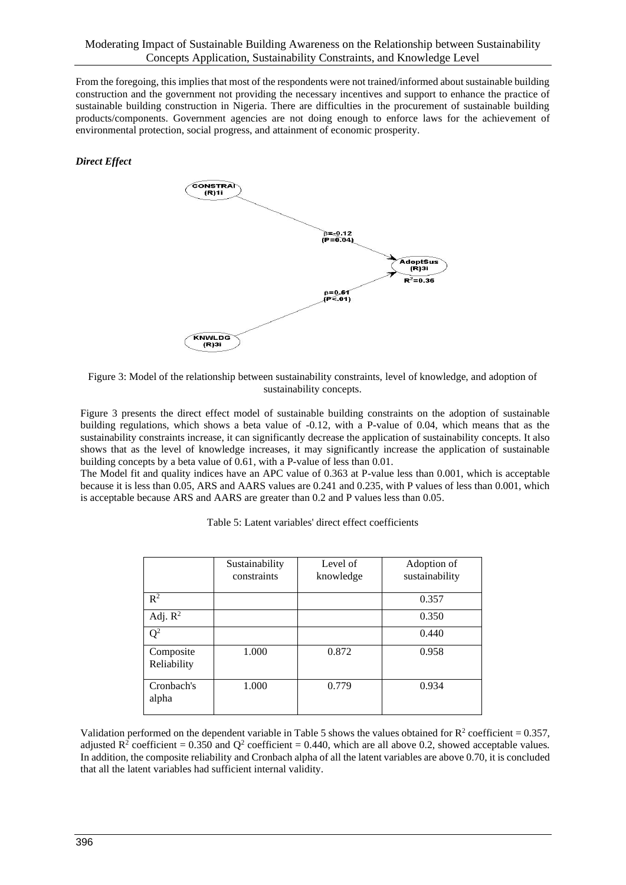From the foregoing, this implies that most of the respondents were not trained/informed about sustainable building construction and the government not providing the necessary incentives and support to enhance the practice of sustainable building construction in Nigeria. There are difficulties in the procurement of sustainable building products/components. Government agencies are not doing enough to enforce laws for the achievement of environmental protection, social progress, and attainment of economic prosperity.

# *Direct Effect*



Figure 3: Model of the relationship between sustainability constraints, level of knowledge, and adoption of sustainability concepts.

Figure 3 presents the direct effect model of sustainable building constraints on the adoption of sustainable building regulations, which shows a beta value of -0.12, with a P-value of 0.04, which means that as the sustainability constraints increase, it can significantly decrease the application of sustainability concepts. It also shows that as the level of knowledge increases, it may significantly increase the application of sustainable building concepts by a beta value of 0.61, with a P-value of less than 0.01.

The Model fit and quality indices have an APC value of 0.363 at P-value less than 0.001, which is acceptable because it is less than 0.05, ARS and AARS values are 0.241 and 0.235, with P values of less than 0.001, which is acceptable because ARS and AARS are greater than 0.2 and P values less than 0.05.

|                          | Sustainability<br>constraints | Level of<br>knowledge | Adoption of<br>sustainability |
|--------------------------|-------------------------------|-----------------------|-------------------------------|
| $\mathbb{R}^2$           |                               |                       | 0.357                         |
| Adj. $R^2$               |                               |                       | 0.350                         |
| $Q^2$                    |                               |                       | 0.440                         |
| Composite<br>Reliability | 1.000                         | 0.872                 | 0.958                         |
| Cronbach's<br>alpha      | 1.000                         | 0.779                 | 0.934                         |

|  |  |  |  |  |  | Table 5: Latent variables' direct effect coefficients |
|--|--|--|--|--|--|-------------------------------------------------------|
|--|--|--|--|--|--|-------------------------------------------------------|

Validation performed on the dependent variable in Table 5 shows the values obtained for  $R^2$  coefficient = 0.357, adjusted  $R^2$  coefficient = 0.350 and  $Q^2$  coefficient = 0.440, which are all above 0.2, showed acceptable values. In addition, the composite reliability and Cronbach alpha of all the latent variables are above 0.70, it is concluded that all the latent variables had sufficient internal validity.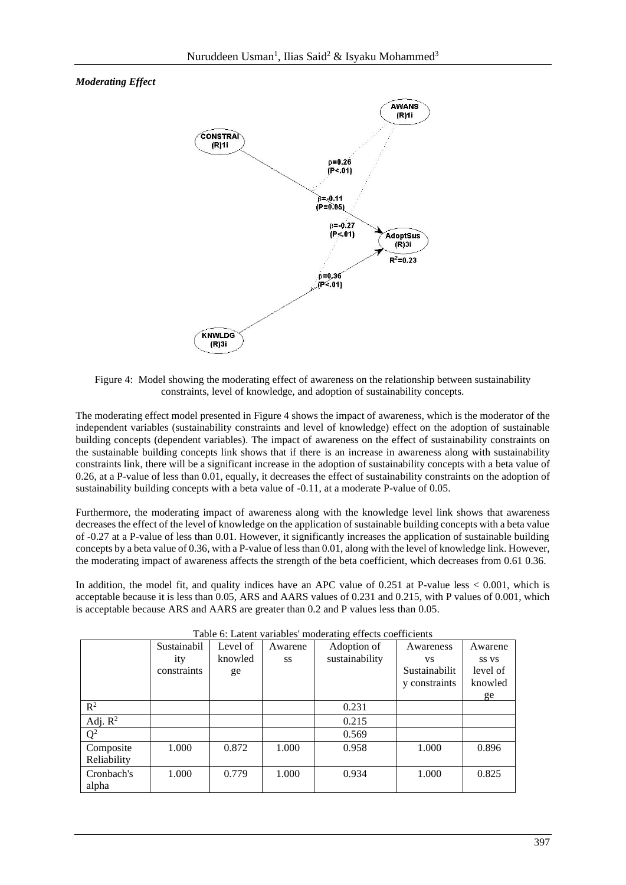# *Moderating Effect*



Figure 4: Model showing the moderating effect of awareness on the relationship between sustainability constraints, level of knowledge, and adoption of sustainability concepts.

The moderating effect model presented in Figure 4 shows the impact of awareness, which is the moderator of the independent variables (sustainability constraints and level of knowledge) effect on the adoption of sustainable building concepts (dependent variables). The impact of awareness on the effect of sustainability constraints on the sustainable building concepts link shows that if there is an increase in awareness along with sustainability constraints link, there will be a significant increase in the adoption of sustainability concepts with a beta value of 0.26, at a P-value of less than 0.01, equally, it decreases the effect of sustainability constraints on the adoption of sustainability building concepts with a beta value of -0.11, at a moderate P-value of 0.05.

Furthermore, the moderating impact of awareness along with the knowledge level link shows that awareness decreases the effect of the level of knowledge on the application of sustainable building concepts with a beta value of -0.27 at a P-value of less than 0.01. However, it significantly increases the application of sustainable building concepts by a beta value of 0.36, with a P-value of less than 0.01, along with the level of knowledge link. However, the moderating impact of awareness affects the strength of the beta coefficient, which decreases from 0.61 0.36.

In addition, the model fit, and quality indices have an APC value of 0.251 at P-value less < 0.001, which is acceptable because it is less than 0.05, ARS and AARS values of 0.231 and 0.215, with P values of 0.001, which is acceptable because ARS and AARS are greater than 0.2 and P values less than 0.05.

| Table 6: Latent variables' moderating effects coefficients |             |          |         |                |               |          |
|------------------------------------------------------------|-------------|----------|---------|----------------|---------------|----------|
|                                                            | Sustainabil | Level of | Awarene | Adoption of    | Awareness     | Awarene  |
|                                                            | ity         | knowled  | SS      | sustainability | VS.           | SS VS    |
|                                                            | constraints | ge       |         |                | Sustainabilit | level of |
|                                                            |             |          |         |                | y constraints | knowled  |
|                                                            |             |          |         |                |               | ge       |
| $\mathbb{R}^2$                                             |             |          |         | 0.231          |               |          |
| Adj. $\mathbb{R}^2$                                        |             |          |         | 0.215          |               |          |
| $\mathbf{Q}^2$                                             |             |          |         | 0.569          |               |          |
| Composite                                                  | 1.000       | 0.872    | 1.000   | 0.958          | 1.000         | 0.896    |
| Reliability                                                |             |          |         |                |               |          |
| Cronbach's                                                 | 1.000       | 0.779    | 1.000   | 0.934          | 1.000         | 0.825    |
| alpha                                                      |             |          |         |                |               |          |

Table 6: Latent variables' moderating effects coefficients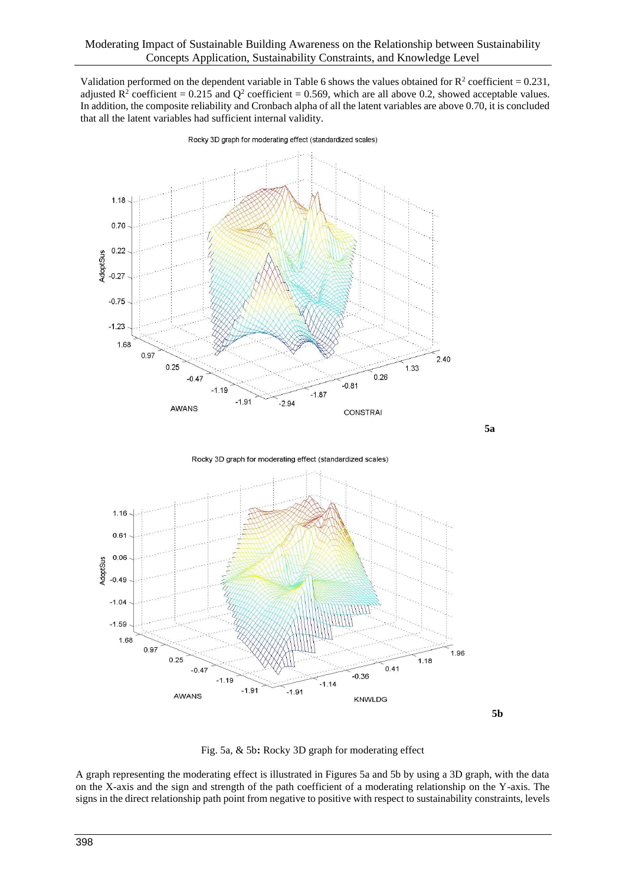Validation performed on the dependent variable in Table 6 shows the values obtained for  $R^2$  coefficient = 0.231, adjusted  $\mathbb{R}^2$  coefficient = 0.215 and  $\mathbb{Q}^2$  coefficient = 0.569, which are all above 0.2, showed acceptable values. In addition, the composite reliability and Cronbach alpha of all the latent variables are above 0.70, it is concluded that all the latent variables had sufficient internal validity.



Rocky 3D graph for moderating effect (standardized scales)

 **5a**

Rocky 3D graph for moderating effect (standardized scales)



**5b**

Fig. 5a, & 5b**:** Rocky 3D graph for moderating effect

A graph representing the moderating effect is illustrated in Figures 5a and 5b by using a 3D graph, with the data on the X-axis and the sign and strength of the path coefficient of a moderating relationship on the Y-axis. The signs in the direct relationship path point from negative to positive with respect to sustainability constraints, levels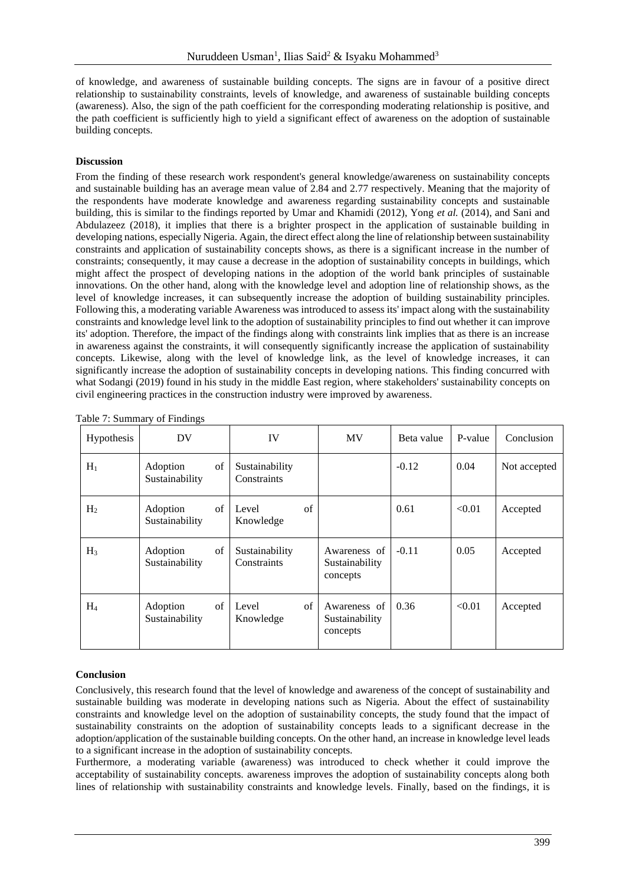of knowledge, and awareness of sustainable building concepts. The signs are in favour of a positive direct relationship to sustainability constraints, levels of knowledge, and awareness of sustainable building concepts (awareness). Also, the sign of the path coefficient for the corresponding moderating relationship is positive, and the path coefficient is sufficiently high to yield a significant effect of awareness on the adoption of sustainable building concepts.

### **Discussion**

From the finding of these research work respondent's general knowledge/awareness on sustainability concepts and sustainable building has an average mean value of 2.84 and 2.77 respectively. Meaning that the majority of the respondents have moderate knowledge and awareness regarding sustainability concepts and sustainable building, this is similar to the findings reported by Umar and Khamidi (2012), Yong *et al.* (2014), and Sani and Abdulazeez (2018), it implies that there is a brighter prospect in the application of sustainable building in developing nations, especially Nigeria. Again, the direct effect along the line of relationship between sustainability constraints and application of sustainability concepts shows, as there is a significant increase in the number of constraints; consequently, it may cause a decrease in the adoption of sustainability concepts in buildings, which might affect the prospect of developing nations in the adoption of the world bank principles of sustainable innovations. On the other hand, along with the knowledge level and adoption line of relationship shows, as the level of knowledge increases, it can subsequently increase the adoption of building sustainability principles. Following this, a moderating variable Awareness was introduced to assess its' impact along with the sustainability constraints and knowledge level link to the adoption of sustainability principles to find out whether it can improve its' adoption. Therefore, the impact of the findings along with constraints link implies that as there is an increase in awareness against the constraints, it will consequently significantly increase the application of sustainability concepts. Likewise, along with the level of knowledge link, as the level of knowledge increases, it can significantly increase the adoption of sustainability concepts in developing nations. This finding concurred with what Sodangi (2019) found in his study in the middle East region, where stakeholders' sustainability concepts on civil engineering practices in the construction industry were improved by awareness.

| Hypothesis     | DV                               | IV                            | <b>MV</b>                                  | Beta value | P-value | Conclusion   |
|----------------|----------------------------------|-------------------------------|--------------------------------------------|------------|---------|--------------|
| $H_1$          | of<br>Adoption<br>Sustainability | Sustainability<br>Constraints |                                            | $-0.12$    | 0.04    | Not accepted |
| H <sub>2</sub> | of<br>Adoption<br>Sustainability | of<br>Level<br>Knowledge      |                                            | 0.61       | < 0.01  | Accepted     |
| $H_3$          | of<br>Adoption<br>Sustainability | Sustainability<br>Constraints | Awareness of<br>Sustainability<br>concepts | $-0.11$    | 0.05    | Accepted     |
| $H_4$          | of<br>Adoption<br>Sustainability | of<br>Level<br>Knowledge      | Awareness of<br>Sustainability<br>concepts | 0.36       | < 0.01  | Accepted     |

|  | Table 7: Summary of Findings |  |  |
|--|------------------------------|--|--|
|  |                              |  |  |

### **Conclusion**

Conclusively, this research found that the level of knowledge and awareness of the concept of sustainability and sustainable building was moderate in developing nations such as Nigeria. About the effect of sustainability constraints and knowledge level on the adoption of sustainability concepts, the study found that the impact of sustainability constraints on the adoption of sustainability concepts leads to a significant decrease in the adoption/application of the sustainable building concepts. On the other hand, an increase in knowledge level leads to a significant increase in the adoption of sustainability concepts.

Furthermore, a moderating variable (awareness) was introduced to check whether it could improve the acceptability of sustainability concepts. awareness improves the adoption of sustainability concepts along both lines of relationship with sustainability constraints and knowledge levels. Finally, based on the findings, it is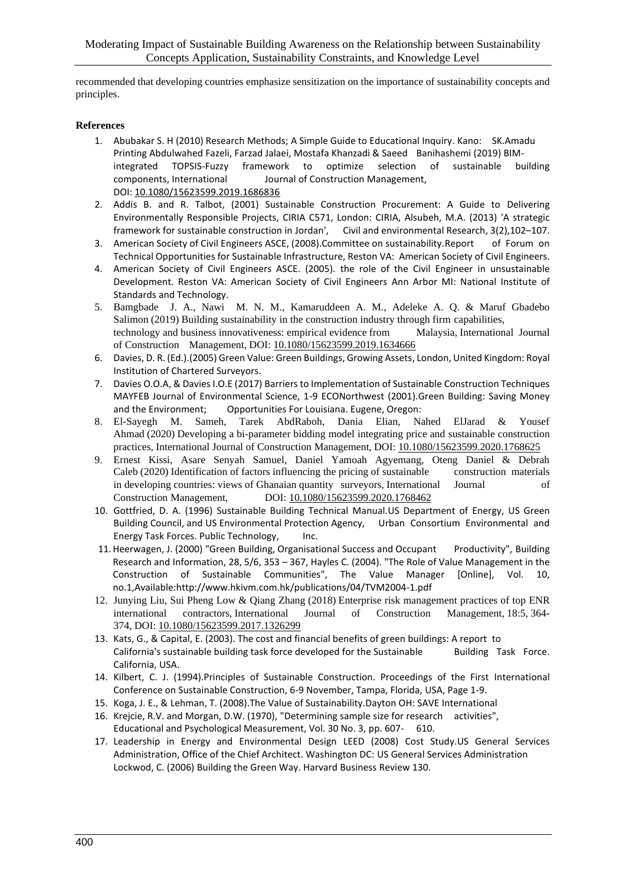recommended that developing countries emphasize sensitization on the importance of sustainability concepts and principles.

### **References**

- 1. Abubakar S. H (2010) Research Methods; A Simple Guide to Educational Inquiry. Kano: SK.Amadu Printing Abdulwahed Fazeli, Farzad Jalaei, Mostafa Khanzadi & Saeed Banihashemi (2019) BIM-TOPSIS-Fuzzy framework to optimize selection of sustainable building components, International Journal of Construction Management, DOI: [10.1080/15623599.2019.1686836](https://doi.org/10.1080/15623599.2019.1686836)
- 2. Addis B. and R. Talbot, (2001) Sustainable Construction Procurement: A Guide to Delivering Environmentally Responsible Projects, CIRIA C571, London: CIRIA, Alsubeh, M.A. (2013) 'A strategic framework for sustainable construction in Jordan', Civil and environmental Research, 3(2),102–107.
- 3. American Society of Civil Engineers ASCE, (2008).Committee on sustainability.Report of Forum on Technical Opportunities for Sustainable Infrastructure, Reston VA: American Society of Civil Engineers.
- 4. American Society of Civil Engineers ASCE. (2005). the role of the Civil Engineer in unsustainable Development. Reston VA: American Society of Civil Engineers Ann Arbor MI: National Institute of Standards and Technology.
- 5. Bamgbade J. A., Nawi M. N. M., Kamaruddeen A. M., Adeleke A. Q. & Maruf Gbadebo Salimon (2019) Building sustainability in the construction industry through firm capabilities, technology and business innovativeness: empirical evidence from Malaysia, International Journal of Construction Management, DOI: [10.1080/15623599.2019.1634666](https://doi.org/10.1080/15623599.2019.1634666)
- 6. Davies, D. R. (Ed.).(2005) Green Value: Green Buildings, Growing Assets, London, United Kingdom: Royal Institution of Chartered Surveyors.
- 7. Davies O.O.A, & Davies I.O.E (2017) Barriers to Implementation of Sustainable Construction Techniques MAYFEB Journal of Environmental Science, 1-9 ECONorthwest (2001).Green Building: Saving Money and the Environment; Opportunities For Louisiana. Eugene, Oregon:
- 8. El-Sayegh M. Sameh, Tarek AbdRaboh, Dania Elian, Nahed ElJarad & Yousef Ahmad (2020) Developing a bi-parameter bidding model integrating price and sustainable construction practices, International Journal of Construction Management, DOI: [10.1080/15623599.2020.1768625](https://doi.org/10.1080/15623599.2020.1768625)
- 9. Ernest Kissi, Asare Senyah Samuel, Daniel Yamoah Agyemang, Oteng Daniel & Debrah Caleb (2020) Identification of factors influencing the pricing of sustainable construction materials in developing countries: views of Ghanaian quantity surveyors, International Journal of Construction Management, DOI: [10.1080/15623599.2020.1768462](https://doi.org/10.1080/15623599.2020.1768462)
- 10. Gottfried, D. A. (1996) Sustainable Building Technical Manual.US Department of Energy, US Green Building Council, and US Environmental Protection Agency, Urban Consortium Environmental and Energy Task Forces. Public Technology, Inc.
- 11.Heerwagen, J. (2000) "Green Building, Organisational Success and Occupant Productivity", Building Research and Information, 28, 5/6, 353 – 367, Hayles C. (2004). "The Role of Value Management in the Construction of Sustainable Communities", The Value Manager [Online], Vol. 10, no.1,Available:http://www.hkivm.com.hk/publications/04/TVM2004-1.pdf
- 12. Junying Liu, Sui Pheng Low & Qiang Zhang (2018) Enterprise risk management practices of top ENR international contractors, International Journal of Construction Management, 18:5, 364- 374, DOI: [10.1080/15623599.2017.1326299](https://doi.org/10.1080/15623599.2017.1326299)
- 13. Kats, G., & Capital, E. (2003). The cost and financial benefits of green buildings: A report to California's sustainable building task force developed for the Sustainable Building Task Force. California, USA.
- 14. Kilbert, C. J. (1994).Principles of Sustainable Construction. Proceedings of the First International Conference on Sustainable Construction, 6-9 November, Tampa, Florida, USA, Page 1-9.
- 15. Koga, J. E., & Lehman, T. (2008).The Value of Sustainability.Dayton OH: SAVE International
- 16. Krejcie, R.V. and Morgan, D.W. (1970), "Determining sample size for research activities", Educational and Psychological Measurement, Vol. 30 No. 3, pp. 607- 610.
- 17. Leadership in Energy and Environmental Design LEED (2008) Cost Study.US General Services Administration, Office of the Chief Architect. Washington DC: US General Services Administration Lockwod, C. (2006) Building the Green Way. Harvard Business Review 130.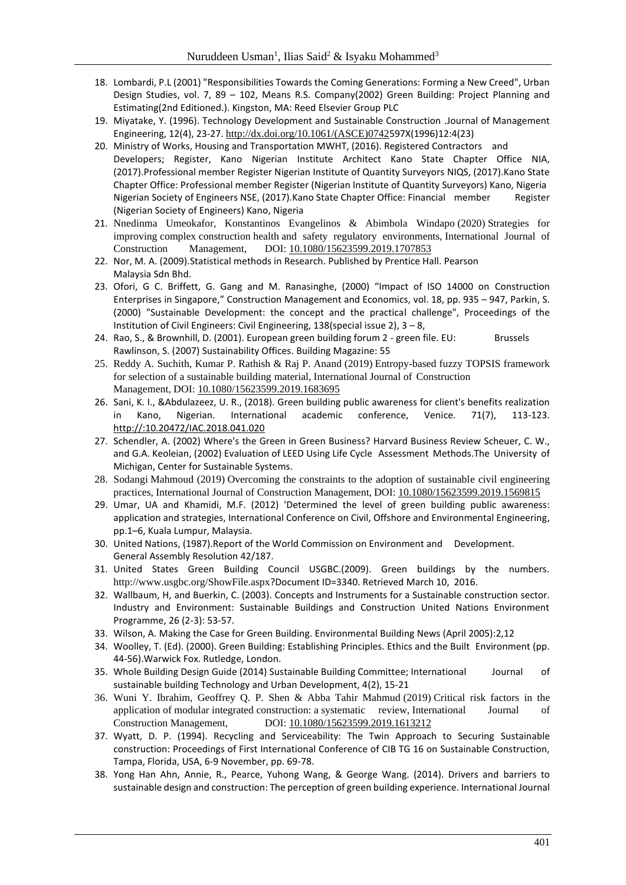- 18. Lombardi, P.L (2001) "Responsibilities Towards the Coming Generations: Forming a New Creed", Urban Design Studies, vol. 7, 89 – 102, Means R.S. Company(2002) Green Building: Project Planning and Estimating(2nd Editioned.). Kingston, MA: Reed Elsevier Group PLC
- 19. Miyatake, Y. (1996). Technology Development and Sustainable Construction .Journal of Management Engineering, 12(4), 23-27. [http://dx.doi.org/10.1061/\(ASCE\)0742](http://dx.doi.org/10.1061/(ASCE)0742)597X(1996)12:4(23)
- 20. Ministry of Works, Housing and Transportation MWHT, (2016). Registered Contractors and Developers; Register, Kano Nigerian Institute Architect Kano State Chapter Office NIA, (2017).Professional member Register Nigerian Institute of Quantity Surveyors NIQS, (2017).Kano State Chapter Office: Professional member Register (Nigerian Institute of Quantity Surveyors) Kano, Nigeria Nigerian Society of Engineers NSE, (2017).Kano State Chapter Office: Financial member Register (Nigerian Society of Engineers) Kano, Nigeria
- 21. Nnedinma Umeokafor, Konstantinos Evangelinos & Abimbola Windapo (2020) Strategies for improving complex construction health and safety regulatory environments, International Journal of Construction Management, DOI: [10.1080/15623599.2019.1707853](https://doi.org/10.1080/15623599.2019.1707853)
- 22. Nor, M. A. (2009).Statistical methods in Research. Published by Prentice Hall. Pearson Malaysia Sdn Bhd.
- 23. Ofori, G C. Briffett, G. Gang and M. Ranasinghe, (2000) "Impact of ISO 14000 on Construction Enterprises in Singapore," Construction Management and Economics, vol. 18, pp. 935 – 947, Parkin, S. (2000) "Sustainable Development: the concept and the practical challenge", Proceedings of the Institution of Civil Engineers: Civil Engineering, 138(special issue 2), 3 – 8,
- 24. Rao, S., & Brownhill, D. (2001). European green building forum 2 green file. EU: Brussels Rawlinson, S. (2007) Sustainability Offices. Building Magazine: 55
- 25. Reddy A. Suchith, Kumar P. Rathish & Raj P. Anand (2019) Entropy-based fuzzy TOPSIS framework for selection of a sustainable building material, International Journal of Construction Management, DOI: [10.1080/15623599.2019.1683695](https://doi.org/10.1080/15623599.2019.1683695)
- 26. Sani, K. I., &Abdulazeez, U. R., (2018). Green building public awareness for client's benefits realization in Kano, Nigerian. International academic conference, Venice. 71(7), 113-123. http://:10.20472/IAC.2018.041.020
- 27. Schendler, A. (2002) Where's the Green in Green Business? Harvard Business Review Scheuer, C. W., and G.A. Keoleian, (2002) Evaluation of LEED Using Life Cycle Assessment Methods.The University of Michigan, Center for Sustainable Systems.
- 28. Sodangi Mahmoud (2019) Overcoming the constraints to the adoption of sustainable civil engineering practices, International Journal of Construction Management, DOI: [10.1080/15623599.2019.1569815](https://doi.org/10.1080/15623599.2019.1569815)
- 29. Umar, UA and Khamidi, M.F. (2012) 'Determined the level of green building public awareness: application and strategies, International Conference on Civil, Offshore and Environmental Engineering, pp.1–6, Kuala Lumpur, Malaysia.
- 30. United Nations, (1987).Report of the World Commission on Environment and Development. General Assembly Resolution 42/187.
- 31. United States Green Building Council USGBC.(2009). Green buildings by the numbers. http://www.usgbc.org/ShowFile.aspx?Document ID=3340. Retrieved March 10, 2016.
- 32. Wallbaum, H, and Buerkin, C. (2003). Concepts and Instruments for a Sustainable construction sector. Industry and Environment: Sustainable Buildings and Construction United Nations Environment Programme, 26 (2-3): 53-57.
- 33. Wilson, A. Making the Case for Green Building. Environmental Building News (April 2005):2,12
- 34. Woolley, T. (Ed). (2000). Green Building: Establishing Principles. Ethics and the Built Environment (pp. 44-56).Warwick Fox. Rutledge, London.
- 35. Whole Building Design Guide (2014) Sustainable Building Committee; International Journal of sustainable building Technology and Urban Development, 4(2), 15-21
- 36. Wuni Y. Ibrahim, Geoffrey Q. P. Shen & Abba Tahir Mahmud (2019) Critical risk factors in the application of modular integrated construction: a systematic review, International Journal of Construction Management, DOI: [10.1080/15623599.2019.1613212](https://doi.org/10.1080/15623599.2019.1613212)
- 37. Wyatt, D. P. (1994). Recycling and Serviceability: The Twin Approach to Securing Sustainable construction: Proceedings of First International Conference of CIB TG 16 on Sustainable Construction, Tampa, Florida, USA, 6-9 November, pp. 69-78.
- 38. Yong Han Ahn, Annie, R., Pearce, Yuhong Wang, & George Wang. (2014). Drivers and barriers to sustainable design and construction: The perception of green building experience. International Journal